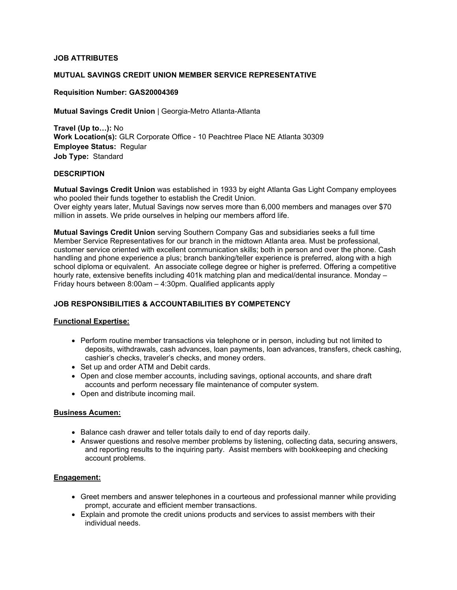# **JOB ATTRIBUTES**

#### **MUTUAL SAVINGS CREDIT UNION MEMBER SERVICE REPRESENTATIVE**

#### **Requisition Number: GAS20004369**

**Mutual Savings Credit Union** | Georgia-Metro Atlanta-Atlanta

**Travel (Up to…):** No **Work Location(s):** GLR Corporate Office - 10 Peachtree Place NE Atlanta 30309 **Employee Status:** Regular **Job Type:** Standard

#### **DESCRIPTION**

**Mutual Savings Credit Union** was established in 1933 by eight Atlanta Gas Light Company employees who pooled their funds together to establish the Credit Union.

Over eighty years later, Mutual Savings now serves more than 6,000 members and manages over \$70 million in assets. We pride ourselves in helping our members afford life.

**Mutual Savings Credit Union** serving Southern Company Gas and subsidiaries seeks a full time Member Service Representatives for our branch in the midtown Atlanta area. Must be professional, customer service oriented with excellent communication skills; both in person and over the phone. Cash handling and phone experience a plus; branch banking/teller experience is preferred, along with a high school diploma or equivalent. An associate college degree or higher is preferred. Offering a competitive hourly rate, extensive benefits including 401k matching plan and medical/dental insurance. Monday – Friday hours between 8:00am – 4:30pm. Qualified applicants apply

## **JOB RESPONSIBILITIES & ACCOUNTABILITIES BY COMPETENCY**

#### **Functional Expertise:**

- Perform routine member transactions via telephone or in person, including but not limited to deposits, withdrawals, cash advances, loan payments, loan advances, transfers, check cashing, cashier's checks, traveler's checks, and money orders.
- Set up and order ATM and Debit cards.
- Open and close member accounts, including savings, optional accounts, and share draft accounts and perform necessary file maintenance of computer system.
- Open and distribute incoming mail.

#### **Business Acumen:**

- Balance cash drawer and teller totals daily to end of day reports daily.
- Answer questions and resolve member problems by listening, collecting data, securing answers, and reporting results to the inquiring party. Assist members with bookkeeping and checking account problems.

#### **Engagement:**

- Greet members and answer telephones in a courteous and professional manner while providing prompt, accurate and efficient member transactions.
- Explain and promote the credit unions products and services to assist members with their individual needs.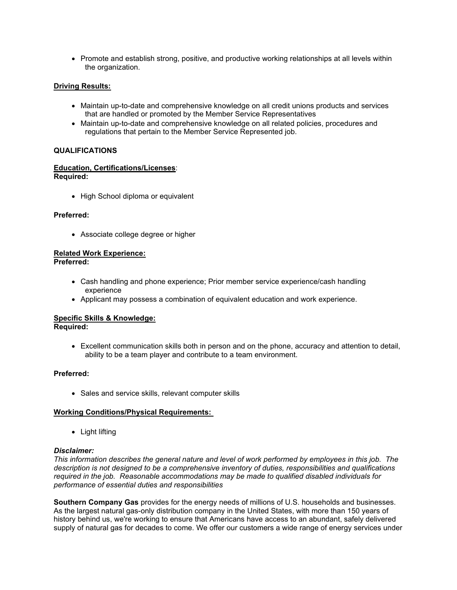• Promote and establish strong, positive, and productive working relationships at all levels within the organization.

# **Driving Results:**

- Maintain up-to-date and comprehensive knowledge on all credit unions products and services that are handled or promoted by the Member Service Representatives
- Maintain up-to-date and comprehensive knowledge on all related policies, procedures and regulations that pertain to the Member Service Represented job.

#### **QUALIFICATIONS**

#### **Education, Certifications/Licenses**: **Required:**

• High School diploma or equivalent

# **Preferred:**

• Associate college degree or higher

# **Related Work Experience:**

**Preferred:**

- Cash handling and phone experience; Prior member service experience/cash handling experience
- Applicant may possess a combination of equivalent education and work experience.

# **Specific Skills & Knowledge:**

**Required:** 

• Excellent communication skills both in person and on the phone, accuracy and attention to detail, ability to be a team player and contribute to a team environment.

#### **Preferred:**

• Sales and service skills, relevant computer skills

#### **Working Conditions/Physical Requirements:**

• Light lifting

#### *Disclaimer:*

*This information describes the general nature and level of work performed by employees in this job. The description is not designed to be a comprehensive inventory of duties, responsibilities and qualifications required in the job. Reasonable accommodations may be made to qualified disabled individuals for performance of essential duties and responsibilities*

**Southern Company Gas** provides for the energy needs of millions of U.S. households and businesses. As the largest natural gas-only distribution company in the United States, with more than 150 years of history behind us, we're working to ensure that Americans have access to an abundant, safely delivered supply of natural gas for decades to come. We offer our customers a wide range of energy services under